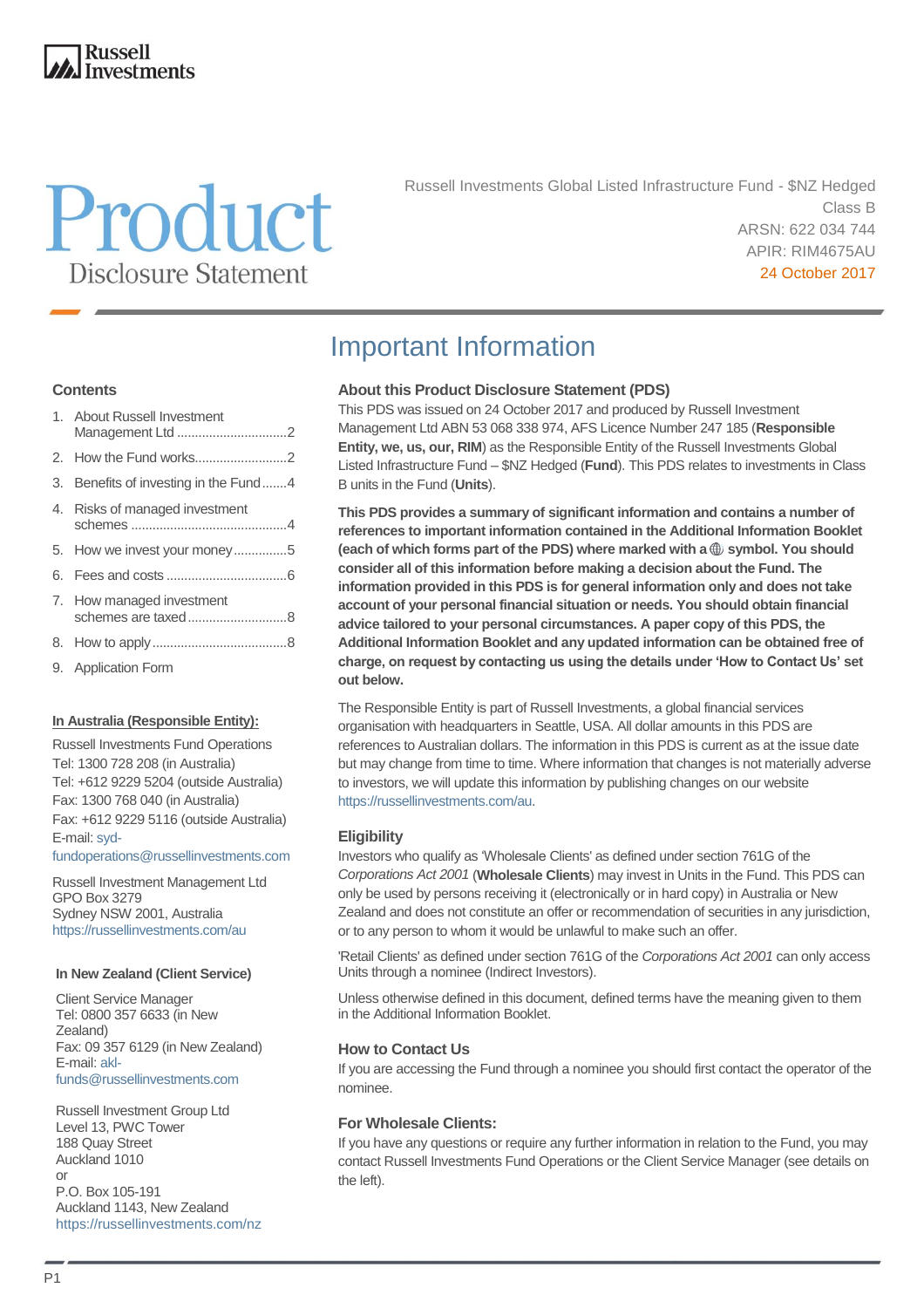### **Russell Investments**

# Product **Disclosure Statement**

Russell Investments Global Listed Infrastructure Fund - \$NZ Hedged Class B ARSN: 622 034 744 APIR: RIM4675AU 24 October 2017

#### **Contents**

| 1. About Russell Investment<br>Management Ltd 2 |  |
|-------------------------------------------------|--|
|                                                 |  |
| 3. Benefits of investing in the Fund4           |  |
| 4. Risks of managed investment                  |  |
| 5. How we invest your money5                    |  |
|                                                 |  |
| 7. How managed investment                       |  |
|                                                 |  |
| 9. Application Form                             |  |

#### **In Australia (Responsible Entity):**

Russell Investments Fund Operations Tel: 1300 728 208 (in Australia) Tel: +612 9229 5204 (outside Australia) Fax: 1300 768 040 (in Australia) Fax: +612 9229 5116 (outside Australia) E-mail[: syd-](mailto:syd-fundoperations@russellinvestments.com)

[fundoperations@russellinvestments.com](mailto:syd-fundoperations@russellinvestments.com)

Russell Investment Management Ltd GPO Box 3279 Sydney NSW 2001, Australia <https://russellinvestments.com/au>

#### **In New Zealand (Client Service)**

Client Service Manager Tel: 0800 357 6633 (in New Zealand) Fax: 09 357 6129 (in New Zealand) E-mail[: akl](mailto:akl-funds@russellinvestments.com)[funds@russellinvestments.com](mailto:akl-funds@russellinvestments.com)

Russell Investment Group Ltd Level 13, PWC Tower 188 Quay Street Auckland 1010 or P.O. Box 105-191 Auckland 1143, New Zealand <https://russellinvestments.com/nz>

# Important Information

#### **About this Product Disclosure Statement (PDS)**

This PDS was issued on 24 October 2017 and produced by Russell Investment Management Ltd ABN 53 068 338 974, AFS Licence Number 247 185 (**Responsible Entity, we, us, our, RIM**) as the Responsible Entity of the Russell Investments Global Listed Infrastructure Fund – \$NZ Hedged (**Fund**). This PDS relates to investments in Class B units in the Fund (**Units**).

**This PDS provides a summary of significant information and contains a number of references to important information contained in the Additional Information Booklet**  (each of which forms part of the PDS) where marked with a  $\oplus$  symbol. You should **consider all of this information before making a decision about the Fund. The information provided in this PDS is for general information only and does not take account of your personal financial situation or needs. You should obtain financial advice tailored to your personal circumstances. A paper copy of this PDS, the Additional Information Booklet and any updated information can be obtained free of charge, on request by contacting us using the details under 'How to Contact Us' set out below.**

The Responsible Entity is part of Russell Investments, a global financial services organisation with headquarters in Seattle, USA. All dollar amounts in this PDS are references to Australian dollars. The information in this PDS is current as at the issue date but may change from time to time. Where information that changes is not materially adverse to investors, we will update this information by publishing changes on our website [https://russellinvestments.com/au.](https://russellinvestments.com/au) 

#### **Eligibility**

Investors who qualify as 'Wholesale Clients' as defined under section 761G of the *Corporations Act 2001* (**Wholesale Clients**) may invest in Units in the Fund. This PDS can only be used by persons receiving it (electronically or in hard copy) in Australia or New Zealand and does not constitute an offer or recommendation of securities in any jurisdiction, or to any person to whom it would be unlawful to make such an offer.

'Retail Clients' as defined under section 761G of the *Corporations Act 2001* can only access Units through a nominee (Indirect Investors).

Unless otherwise defined in this document, defined terms have the meaning given to them in the Additional Information Booklet.

#### **How to Contact Us**

If you are accessing the Fund through a nominee you should first contact the operator of the nominee.

#### **For Wholesale Clients:**

If you have any questions or require any further information in relation to the Fund, you may contact Russell Investments Fund Operations or the Client Service Manager (see details on the left).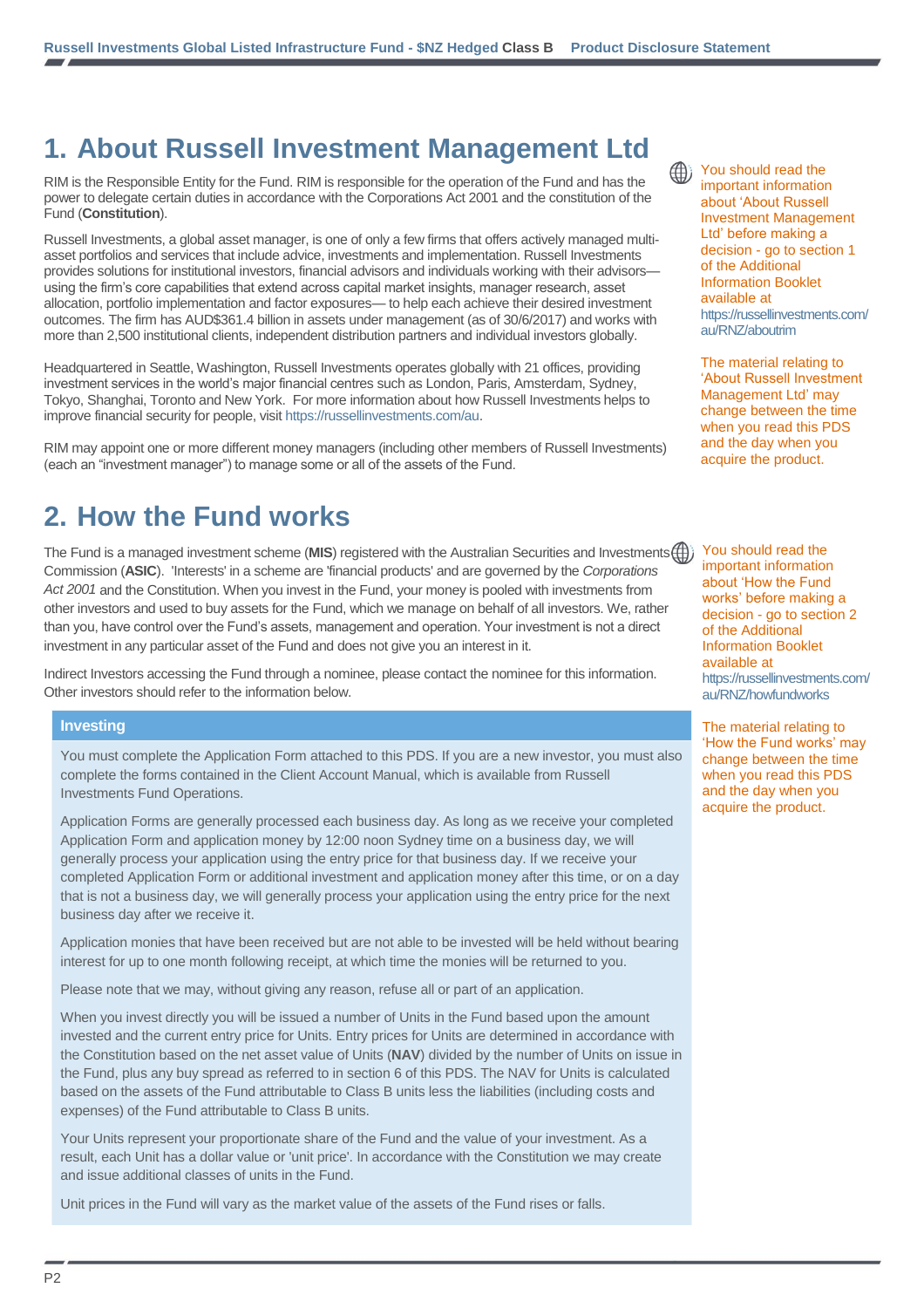# **1. About Russell Investment Management Ltd**

RIM is the Responsible Entity for the Fund. RIM is responsible for the operation of the Fund and has the power to delegate certain duties in accordance with the Corporations Act 2001 and the constitution of the Fund (**Constitution**).

Russell Investments, a global asset manager, is one of only a few firms that offers actively managed multiasset portfolios and services that include advice, investments and implementation. Russell Investments provides solutions for institutional investors, financial advisors and individuals working with their advisors using the firm's core capabilities that extend across capital market insights, manager research, asset allocation, portfolio implementation and factor exposures— to help each achieve their desired investment outcomes. The firm has AUD\$361.4 billion in assets under management (as of 30/6/2017) and works with more than 2,500 institutional clients, independent distribution partners and individual investors globally.

Headquartered in Seattle, Washington, Russell Investments operates globally with 21 offices, providing investment services in the world's major financial centres such as London, Paris, Amsterdam, Sydney, Tokyo, Shanghai, Toronto and New York. For more information about how Russell Investments helps to improve financial security for people, visit [https://russellinvestments.com/au.](https://russellinvestments.com/au)

RIM may appoint one or more different money managers (including other members of Russell Investments) (each an "investment manager") to manage some or all of the assets of the Fund.

# **2. How the Fund works**

The Fund is a managed investment scheme (MIS) registered with the Australian Securities and Investments (<sup>1</sup>) Commission (**ASIC**). 'Interests' in a scheme are 'financial products' and are governed by the *Corporations Act 2001* and the Constitution. When you invest in the Fund, your money is pooled with investments from other investors and used to buy assets for the Fund, which we manage on behalf of all investors. We, rather than you, have control over the Fund's assets, management and operation. Your investment is not a direct investment in any particular asset of the Fund and does not give you an interest in it.

Indirect Investors accessing the Fund through a nominee, please contact the nominee for this information. Other investors should refer to the information below.

#### **Investing**

You must complete the Application Form attached to this PDS. If you are a new investor, you must also complete the forms contained in the Client Account Manual, which is available from Russell Investments Fund Operations.

Application Forms are generally processed each business day. As long as we receive your completed Application Form and application money by 12:00 noon Sydney time on a business day, we will generally process your application using the entry price for that business day. If we receive your completed Application Form or additional investment and application money after this time, or on a day that is not a business day, we will generally process your application using the entry price for the next business day after we receive it.

Application monies that have been received but are not able to be invested will be held without bearing interest for up to one month following receipt, at which time the monies will be returned to you.

Please note that we may, without giving any reason, refuse all or part of an application.

When you invest directly you will be issued a number of Units in the Fund based upon the amount invested and the current entry price for Units. Entry prices for Units are determined in accordance with the Constitution based on the net asset value of Units (**NAV**) divided by the number of Units on issue in the Fund, plus any buy spread as referred to in section 6 of this PDS. The NAV for Units is calculated based on the assets of the Fund attributable to Class B units less the liabilities (including costs and expenses) of the Fund attributable to Class B units.

Your Units represent your proportionate share of the Fund and the value of your investment. As a result, each Unit has a dollar value or 'unit price'. In accordance with the Constitution we may create and issue additional classes of units in the Fund.

Unit prices in the Fund will vary as the market value of the assets of the Fund rises or falls.

(∰)

You should read the important information about 'About Russell Investment Management Ltd' before making a decision - go to section 1 of the Additional Information Booklet available at [https://russellinvestments.com/](https://russellinvestments.com/au/RNZ/aboutrim) [au/RNZ/aboutrim](https://russellinvestments.com/au/RNZ/aboutrim)

The material relating to 'About Russell Investment Management Ltd' may change between the time when you read this PDS and the day when you acquire the product.

You should read the important information about 'How the Fund works' before making a decision - go to section 2 of the Additional Information Booklet available at [https://russellinvestments.com/](https://russellinvestments.com/au/RNZ/howfundworks) [au/RNZ/howfundworks](https://russellinvestments.com/au/RNZ/howfundworks)

The material relating to 'How the Fund works' may change between the time when you read this PDS and the day when you acquire the product.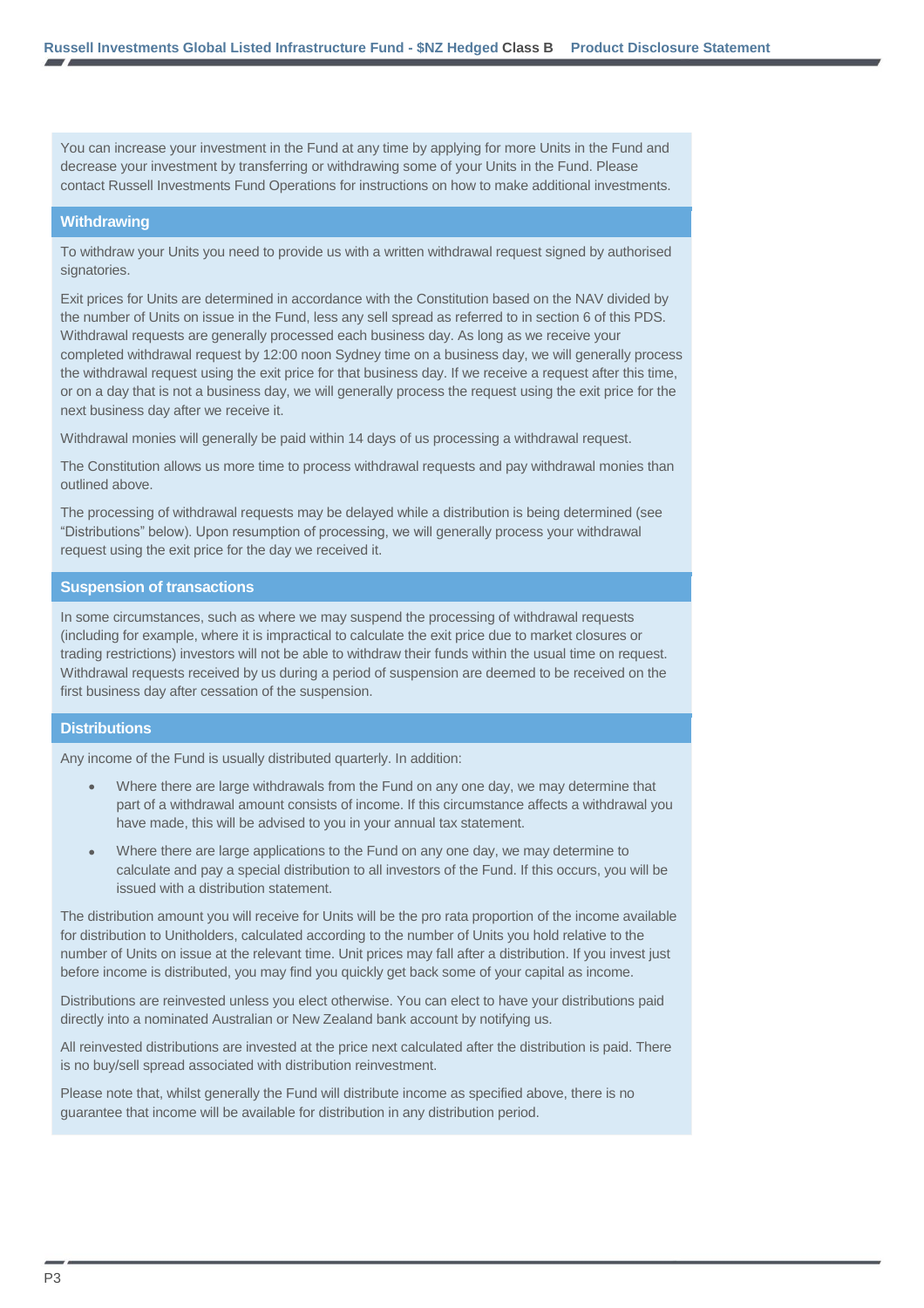You can increase your investment in the Fund at any time by applying for more Units in the Fund and decrease your investment by transferring or withdrawing some of your Units in the Fund. Please contact Russell Investments Fund Operations for instructions on how to make additional investments.

#### **Withdrawing**

To withdraw your Units you need to provide us with a written withdrawal request signed by authorised signatories.

Exit prices for Units are determined in accordance with the Constitution based on the NAV divided by the number of Units on issue in the Fund, less any sell spread as referred to in section 6 of this PDS. Withdrawal requests are generally processed each business day. As long as we receive your completed withdrawal request by 12:00 noon Sydney time on a business day, we will generally process the withdrawal request using the exit price for that business day. If we receive a request after this time, or on a day that is not a business day, we will generally process the request using the exit price for the next business day after we receive it.

Withdrawal monies will generally be paid within 14 days of us processing a withdrawal request.

The Constitution allows us more time to process withdrawal requests and pay withdrawal monies than outlined above.

The processing of withdrawal requests may be delayed while a distribution is being determined (see "Distributions" below). Upon resumption of processing, we will generally process your withdrawal request using the exit price for the day we received it.

#### **Suspension of transactions**

In some circumstances, such as where we may suspend the processing of withdrawal requests (including for example, where it is impractical to calculate the exit price due to market closures or trading restrictions) investors will not be able to withdraw their funds within the usual time on request. Withdrawal requests received by us during a period of suspension are deemed to be received on the first business day after cessation of the suspension.

#### **Distributions**

Any income of the Fund is usually distributed quarterly. In addition:

- Where there are large withdrawals from the Fund on any one day, we may determine that part of a withdrawal amount consists of income. If this circumstance affects a withdrawal you have made, this will be advised to you in your annual tax statement.
- Where there are large applications to the Fund on any one day, we may determine to calculate and pay a special distribution to all investors of the Fund. If this occurs, you will be issued with a distribution statement.

The distribution amount you will receive for Units will be the pro rata proportion of the income available for distribution to Unitholders, calculated according to the number of Units you hold relative to the number of Units on issue at the relevant time. Unit prices may fall after a distribution. If you invest just before income is distributed, you may find you quickly get back some of your capital as income.

Distributions are reinvested unless you elect otherwise. You can elect to have your distributions paid directly into a nominated Australian or New Zealand bank account by notifying us.

All reinvested distributions are invested at the price next calculated after the distribution is paid. There is no buy/sell spread associated with distribution reinvestment.

Please note that, whilst generally the Fund will distribute income as specified above, there is no guarantee that income will be available for distribution in any distribution period.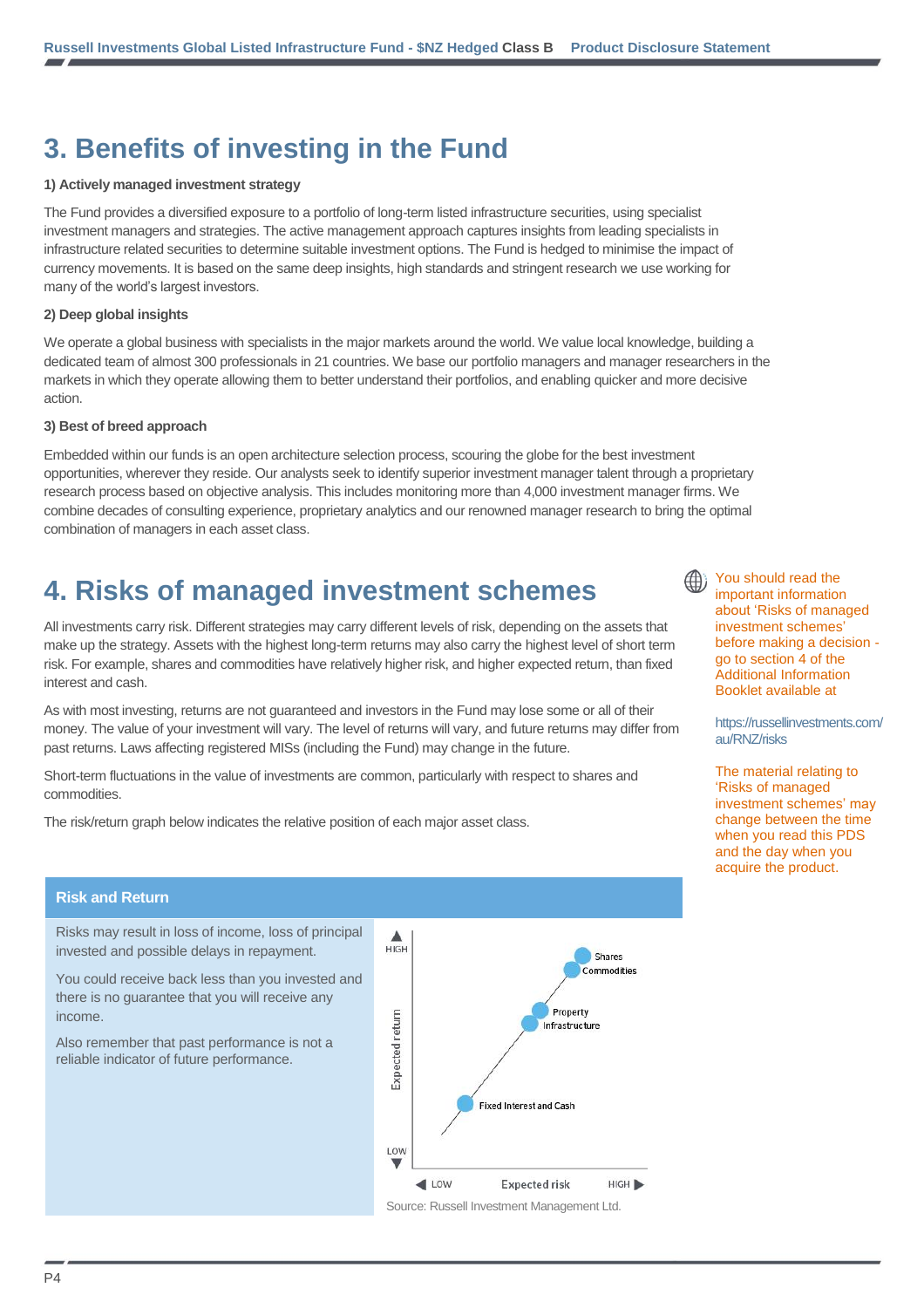# **3. Benefits of investing in the Fund**

#### **1) Actively managed investment strategy**

The Fund provides a diversified exposure to a portfolio of long-term listed infrastructure securities, using specialist investment managers and strategies. The active management approach captures insights from leading specialists in infrastructure related securities to determine suitable investment options. The Fund is hedged to minimise the impact of currency movements. It is based on the same deep insights, high standards and stringent research we use working for many of the world's largest investors.

#### **2) Deep global insights**

We operate a global business with specialists in the major markets around the world. We value local knowledge, building a dedicated team of almost 300 professionals in 21 countries. We base our portfolio managers and manager researchers in the markets in which they operate allowing them to better understand their portfolios, and enabling quicker and more decisive action.

#### **3) Best of breed approach**

Embedded within our funds is an open architecture selection process, scouring the globe for the best investment opportunities, wherever they reside. Our analysts seek to identify superior investment manager talent through a proprietary research process based on objective analysis. This includes monitoring more than 4,000 investment manager firms. We combine decades of consulting experience, proprietary analytics and our renowned manager research to bring the optimal combination of managers in each asset class.

# **4. Risks of managed investment schemes**

All investments carry risk. Different strategies may carry different levels of risk, depending on the assets that make up the strategy. Assets with the highest long-term returns may also carry the highest level of short term risk. For example, shares and commodities have relatively higher risk, and higher expected return, than fixed interest and cash.

As with most investing, returns are not guaranteed and investors in the Fund may lose some or all of their money. The value of your investment will vary. The level of returns will vary, and future returns may differ from past returns. Laws affecting registered MISs (including the Fund) may change in the future.

Short-term fluctuations in the value of investments are common, particularly with respect to shares and commodities.

The risk/return graph below indicates the relative position of each major asset class.

#### **Risk and Return**

Risks may result in loss of income, loss of principal invested and possible delays in repayment.

You could receive back less than you invested and there is no guarantee that you will receive any income.

Also remember that past performance is not a reliable indicator of future performance.



You should read the important information about 'Risks of managed investment schemes' before making a decision go to section 4 of the Additional Information Booklet available at

[https://russellinvestments.com/](https://russellinvestments.com/au/RNZ/risks) [au/RNZ/risks](https://russellinvestments.com/au/RNZ/risks)

The material relating to 'Risks of managed investment schemes' may change between the time when you read this PDS and the day when you acquire the product.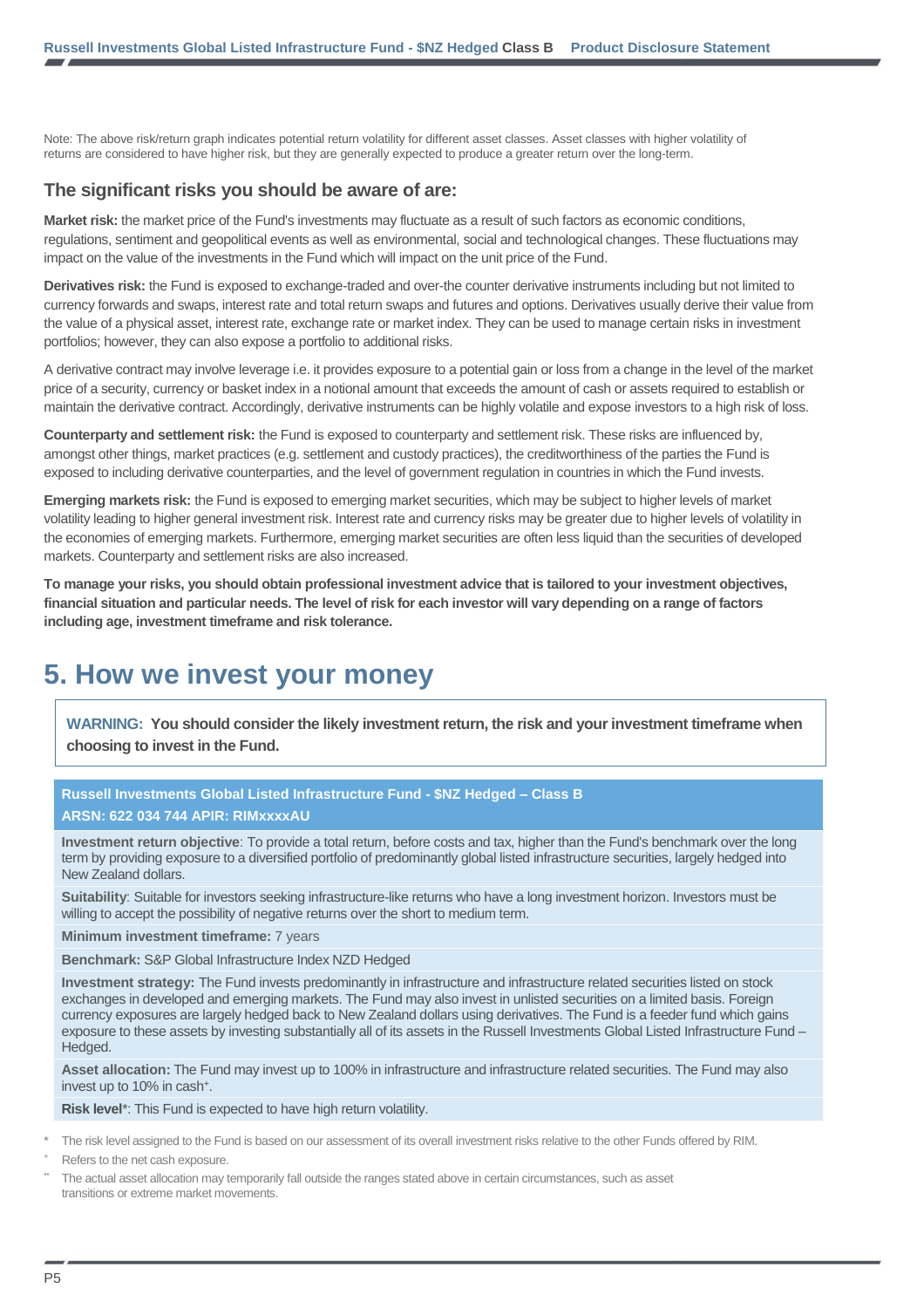Note: The above risk/return graph indicates potential return volatility for different asset classes. Asset classes with higher volatility of returns are considered to have higher risk, but they are generally expected to produce a greater return over the long-term.

#### **The significant risks you should be aware of are:**

**Market risk:** the market price of the Fund's investments may fluctuate as a result of such factors as economic conditions, regulations, sentiment and geopolitical events as well as environmental, social and technological changes. These fluctuations may impact on the value of the investments in the Fund which will impact on the unit price of the Fund.

**Derivatives risk:** the Fund is exposed to exchange-traded and over-the counter derivative instruments including but not limited to currency forwards and swaps, interest rate and total return swaps and futures and options. Derivatives usually derive their value from the value of a physical asset, interest rate, exchange rate or market index. They can be used to manage certain risks in investment portfolios; however, they can also expose a portfolio to additional risks.

A derivative contract may involve leverage i.e. it provides exposure to a potential gain or loss from a change in the level of the market price of a security, currency or basket index in a notional amount that exceeds the amount of cash or assets required to establish or maintain the derivative contract. Accordingly, derivative instruments can be highly volatile and expose investors to a high risk of loss.

**Counterparty and settlement risk:** the Fund is exposed to counterparty and settlement risk. These risks are influenced by, amongst other things, market practices (e.g. settlement and custody practices), the creditworthiness of the parties the Fund is exposed to including derivative counterparties, and the level of government regulation in countries in which the Fund invests.

**Emerging markets risk:** the Fund is exposed to emerging market securities, which may be subject to higher levels of market volatility leading to higher general investment risk. Interest rate and currency risks may be greater due to higher levels of volatility in the economies of emerging markets. Furthermore, emerging market securities are often less liquid than the securities of developed markets. Counterparty and settlement risks are also increased.

**To manage your risks, you should obtain professional investment advice that is tailored to your investment objectives, financial situation and particular needs. The level of risk for each investor will vary depending on a range of factors including age, investment timeframe and risk tolerance.**

# **5. How we invest your money**

**WARNING: You should consider the likely investment return, the risk and your investment timeframe when choosing to invest in the Fund.**

#### **Russell Investments Global Listed Infrastructure Fund - \$NZ Hedged – Class B ARSN: 622 034 744 APIR: RIMxxxxAU**

**Investment return objective**: To provide a total return, before costs and tax, higher than the Fund's benchmark over the long term by providing exposure to a diversified portfolio of predominantly global listed infrastructure securities, largely hedged into New Zealand dollars.

**Suitability**: Suitable for investors seeking infrastructure-like returns who have a long investment horizon. Investors must be willing to accept the possibility of negative returns over the short to medium term.

**Minimum investment timeframe: 7 years** 

**Benchmark:** S&P Global Infrastructure Index NZD Hedged

**Investment strategy:** The Fund invests predominantly in infrastructure and infrastructure related securities listed on stock exchanges in developed and emerging markets. The Fund may also invest in unlisted securities on a limited basis. Foreign currency exposures are largely hedged back to New Zealand dollars using derivatives. The Fund is a feeder fund which gains exposure to these assets by investing substantially all of its assets in the Russell Investments Global Listed Infrastructure Fund – Hedged.

**Asset allocation:** The Fund may invest up to 100% in infrastructure and infrastructure related securities. The Fund may also invest up to 10% in cash<sup>+</sup>.

**Risk level**\*: This Fund is expected to have high return volatility.

The risk level assigned to the Fund is based on our assessment of its overall investment risks relative to the other Funds offered by RIM.

Refers to the net cash exposure.

The actual asset allocation may temporarily fall outside the ranges stated above in certain circumstances, such as asset transitions or extreme market movements.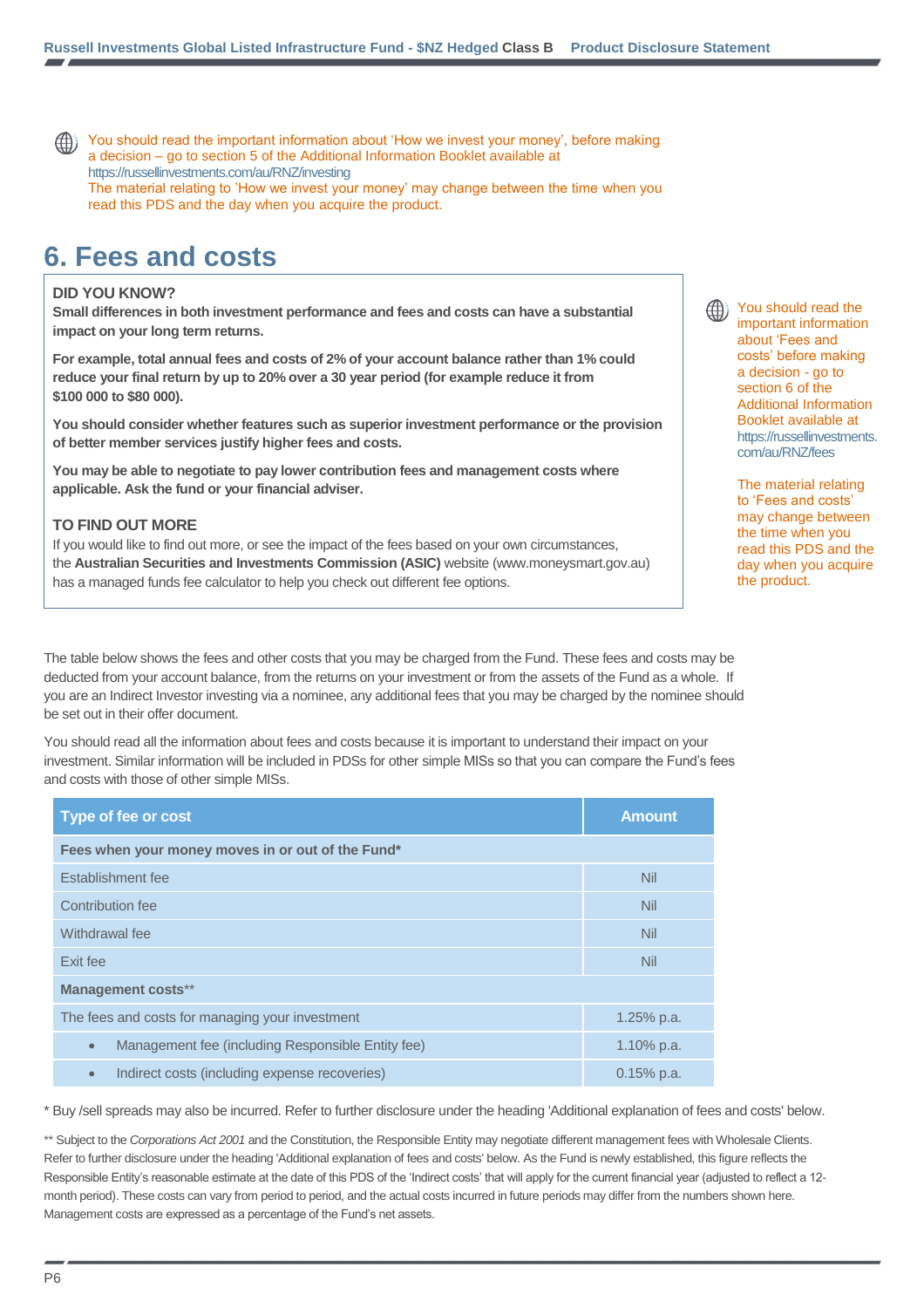You should read the important information about 'How we invest your money', before making a decision – go to section 5 of the Additional Information Booklet available at [https://russellinvestments.com/au/RNZ/investing](http://www.russellinvestments.com/au/RNZ/investing) The material relating to 'How we invest your money' may change between the time when you read this PDS and the day when you acquire the product.

# **6. Fees and costs**

#### **DID YOU KNOW?**

**Small differences in both investment performance and fees and costs can have a substantial impact on your long term returns.**

**For example, total annual fees and costs of 2% of your account balance rather than 1% could reduce your final return by up to 20% over a 30 year period (for example reduce it from \$100 000 to \$80 000).**

**You should consider whether features such as superior investment performance or the provision of better member services justify higher fees and costs.**

**You may be able to negotiate to pay lower contribution fees and management costs where applicable. Ask the fund or your financial adviser.**

#### **TO FIND OUT MORE**

If you would like to find out more, or see the impact of the fees based on your own circumstances, the **Australian Securities and Investments Commission (ASIC)** website (www.moneysmart.gov.au) has a managed funds fee calculator to help you check out different fee options.

The table below shows the fees and other costs that you may be charged from the Fund. These fees and costs may be deducted from your account balance, from the returns on your investment or from the assets of the Fund as a whole. If you are an Indirect Investor investing via a nominee, any additional fees that you may be charged by the nominee should be set out in their offer document.

You should read all the information about fees and costs because it is important to understand their impact on your investment. Similar information will be included in PDSs for other simple MISs so that you can compare the Fund's fees and costs with those of other simple MISs.

| <b>Type of fee or cost</b>                                     | <b>Amount</b> |  |  |  |
|----------------------------------------------------------------|---------------|--|--|--|
| Fees when your money moves in or out of the Fund*              |               |  |  |  |
| Establishment fee                                              | <b>Nil</b>    |  |  |  |
| Contribution fee                                               | <b>Nil</b>    |  |  |  |
| Withdrawal fee                                                 | <b>Nil</b>    |  |  |  |
| Exit fee                                                       | <b>Nil</b>    |  |  |  |
| <b>Management costs**</b>                                      |               |  |  |  |
| The fees and costs for managing your investment                | $1.25\%$ p.a. |  |  |  |
| Management fee (including Responsible Entity fee)<br>$\bullet$ | 1.10% p.a.    |  |  |  |
| Indirect costs (including expense recoveries)<br>$\bullet$     | $0.15%$ p.a.  |  |  |  |

\* Buy /sell spreads may also be incurred. Refer to further disclosure under the heading 'Additional explanation of fees and costs' below.

\*\* Subject to the Corporations Act 2001 and the Constitution, the Responsible Entity may negotiate different management fees with Wholesale Clients. Refer to further disclosure under the heading 'Additional explanation of fees and costs' below. As the Fund is newly established, this figure reflects the Responsible Entity's reasonable estimate at the date of this PDS of the 'Indirect costs' that will apply for the current financial year (adjusted to reflect a 12 month period). These costs can vary from period to period, and the actual costs incurred in future periods may differ from the numbers shown here. Management costs are expressed as a percentage of the Fund's net assets.

You should read the important information about 'Fees and costs' before making a decision - go to section 6 of the Additional Information Booklet available at https://russellinvestments. [com/au/RNZ/fees](https://russellinvestments.com/au/RNZ/fees)

The material relating to 'Fees and costs' may change between the time when you read this PDS and the day when you acquire the product.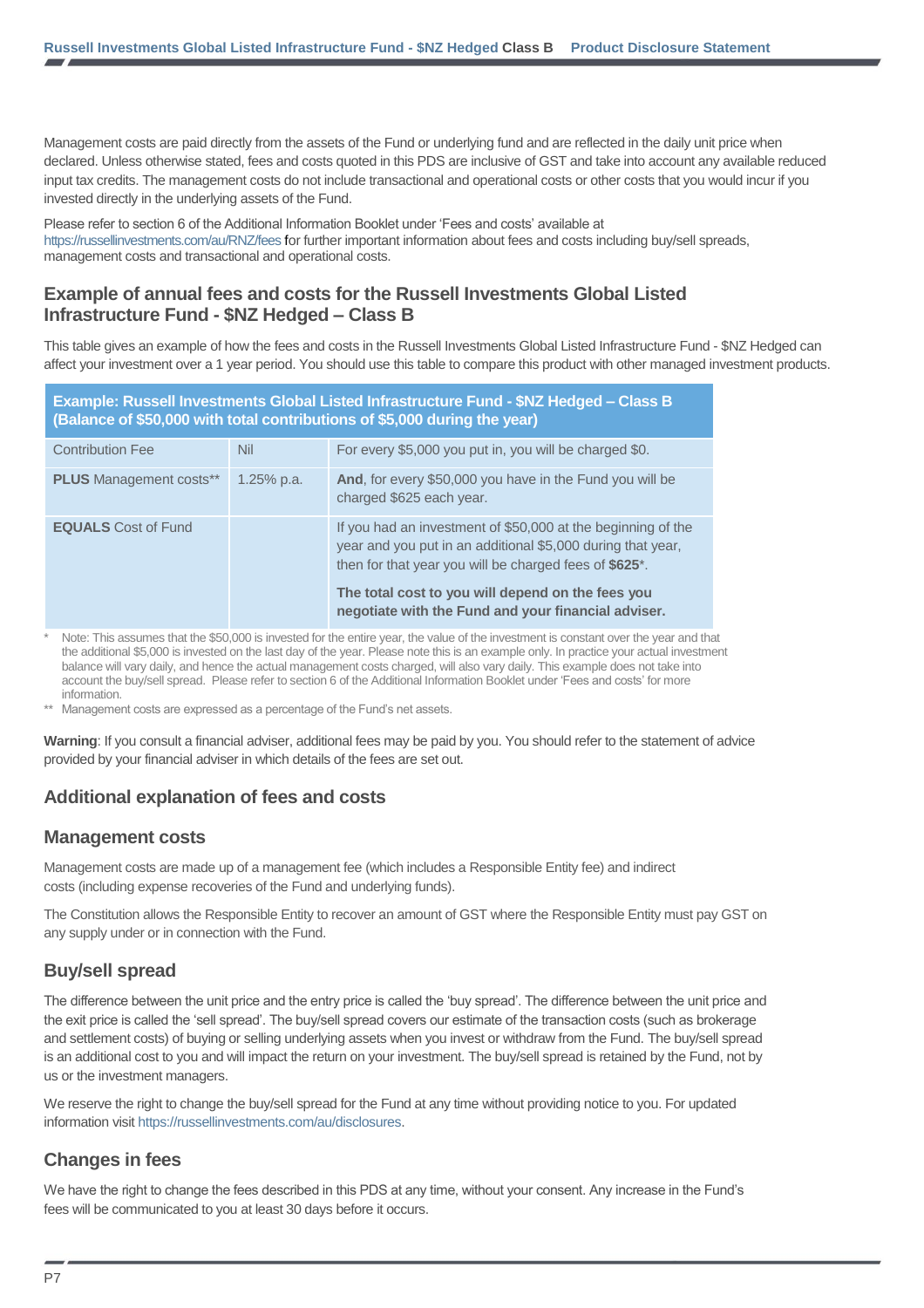Management costs are paid directly from the assets of the Fund or underlying fund and are reflected in the daily unit price when declared. Unless otherwise stated, fees and costs quoted in this PDS are inclusive of GST and take into account any available reduced input tax credits. The management costs do not include transactional and operational costs or other costs that you would incur if you invested directly in the underlying assets of the Fund.

Please refer to section 6 of the Additional Information Booklet under 'Fees and costs' available at <https://russellinvestments.com/au/RNZ/fees> for further important information about fees and costs including buy/sell spreads, management costs and transactional and operational costs.

### **Example of annual fees and costs for the Russell Investments Global Listed Infrastructure Fund - \$NZ Hedged – Class B**

This table gives an example of how the fees and costs in the Russell Investments Global Listed Infrastructure Fund - \$NZ Hedged can affect your investment over a 1 year period. You should use this table to compare this product with other managed investment products.

| Example: Russell Investments Global Listed Infrastructure Fund - \$NZ Hedged - Class B<br>(Balance of \$50,000 with total contributions of \$5,000 during the year) |            |                                                                                                                                                                                                                                                                                                   |  |
|---------------------------------------------------------------------------------------------------------------------------------------------------------------------|------------|---------------------------------------------------------------------------------------------------------------------------------------------------------------------------------------------------------------------------------------------------------------------------------------------------|--|
| <b>Contribution Fee</b>                                                                                                                                             | <b>Nil</b> | For every \$5,000 you put in, you will be charged \$0.                                                                                                                                                                                                                                            |  |
| <b>PLUS</b> Management costs**                                                                                                                                      | 1.25% p.a. | And, for every \$50,000 you have in the Fund you will be<br>charged \$625 each year.                                                                                                                                                                                                              |  |
| <b>EQUALS</b> Cost of Fund                                                                                                                                          |            | If you had an investment of \$50,000 at the beginning of the<br>year and you put in an additional \$5,000 during that year,<br>then for that year you will be charged fees of \$625*.<br>The total cost to you will depend on the fees you<br>negotiate with the Fund and your financial adviser. |  |

Note: This assumes that the \$50,000 is invested for the entire year, the value of the investment is constant over the year and that the additional \$5,000 is invested on the last day of the year. Please note this is an example only. In practice your actual investment balance will vary daily, and hence the actual management costs charged, will also vary daily. This example does not take into account the buy/sell spread. Please refer to section 6 of the Additional Information Booklet under 'Fees and costs' for more information.

\*\* Management costs are expressed as a percentage of the Fund's net assets.

**Warning**: If you consult a financial adviser, additional fees may be paid by you. You should refer to the statement of advice provided by your financial adviser in which details of the fees are set out.

### **Additional explanation of fees and costs**

### **Management costs**

Management costs are made up of a management fee (which includes a Responsible Entity fee) and indirect costs (including expense recoveries of the Fund and underlying funds).

The Constitution allows the Responsible Entity to recover an amount of GST where the Responsible Entity must pay GST on any supply under or in connection with the Fund.

### **Buy/sell spread**

The difference between the unit price and the entry price is called the 'buy spread'. The difference between the unit price and the exit price is called the 'sell spread'. The buy/sell spread covers our estimate of the transaction costs (such as brokerage and settlement costs) of buying or selling underlying assets when you invest or withdraw from the Fund. The buy/sell spread is an additional cost to you and will impact the return on your investment. The buy/sell spread is retained by the Fund, not by us or the investment managers.

We reserve the right to change the buy/sell spread for the Fund at any time without providing notice to you. For updated information visit [https://russellinvestments.com/au/disclosures.](https://russellinvestments.com/au/disclosures)

### **Changes in fees**

We have the right to change the fees described in this PDS at any time, without your consent. Any increase in the Fund's fees will be communicated to you at least 30 days before it occurs.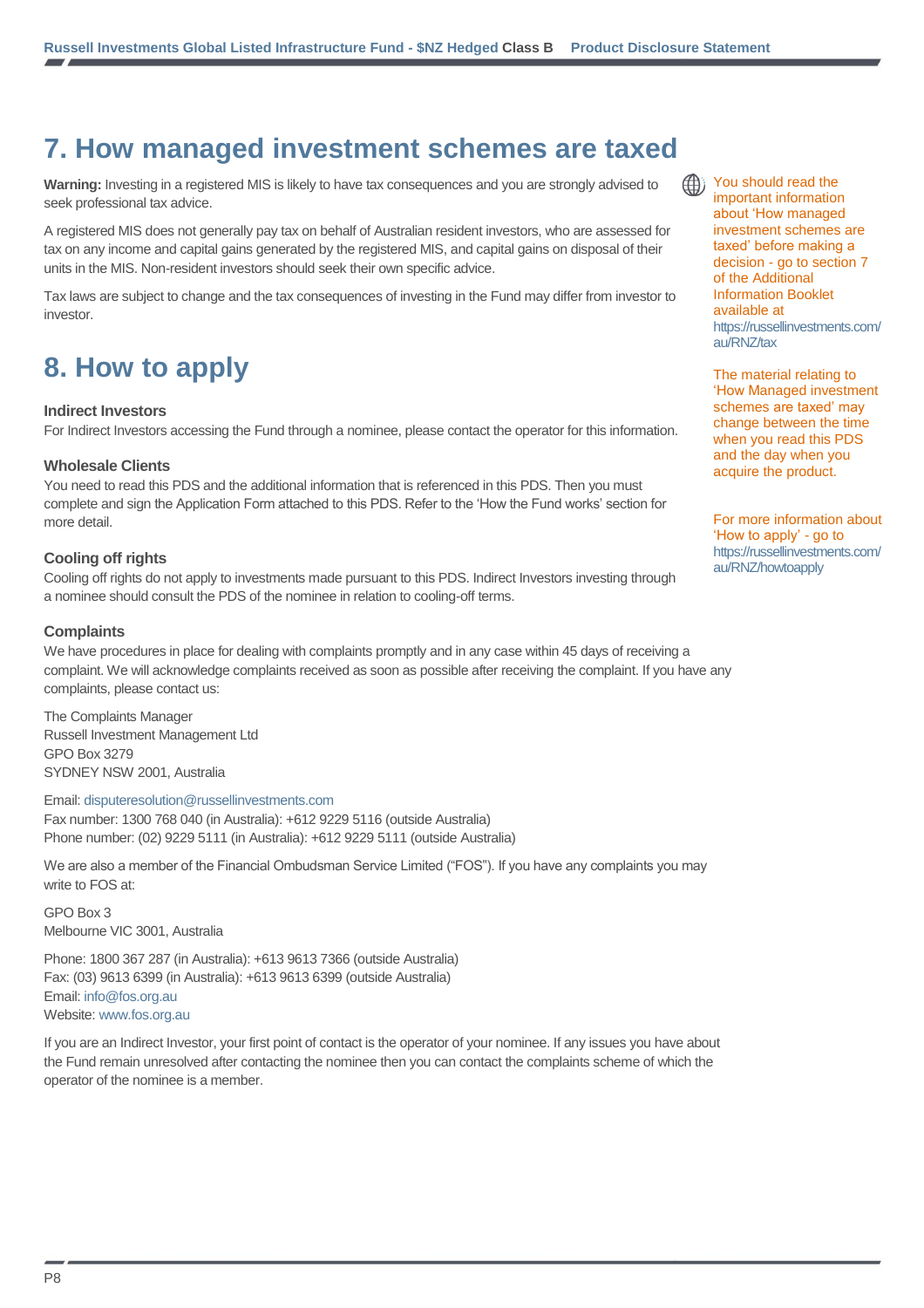# **7. How managed investment schemes are taxed**

**Warning:** Investing in a registered MIS is likely to have tax consequences and you are strongly advised to seek professional tax advice.

A registered MIS does not generally pay tax on behalf of Australian resident investors, who are assessed for tax on any income and capital gains generated by the registered MIS, and capital gains on disposal of their units in the MIS. Non-resident investors should seek their own specific advice.

Tax laws are subject to change and the tax consequences of investing in the Fund may differ from investor to investor.

# **8. How to apply**

#### **Indirect Investors**

For Indirect Investors accessing the Fund through a nominee, please contact the operator for this information.

#### **Wholesale Clients**

You need to read this PDS and the additional information that is referenced in this PDS. Then you must complete and sign the Application Form attached to this PDS. Refer to the 'How the Fund works' section for more detail.

#### **Cooling off rights**

Cooling off rights do not apply to investments made pursuant to this PDS. Indirect Investors investing through a nominee should consult the PDS of the nominee in relation to cooling-off terms.

#### **Complaints**

We have procedures in place for dealing with complaints promptly and in any case within 45 days of receiving a complaint. We will acknowledge complaints received as soon as possible after receiving the complaint. If you have any complaints, please contact us:

The Complaints Manager Russell Investment Management Ltd GPO Box 3279 SYDNEY NSW 2001, Australia

#### Email[: disputeresolution@russellinvestments.com](mailto:disputeresolution@russellinvestments.com)

Fax number: 1300 768 040 (in Australia): +612 9229 5116 (outside Australia) Phone number: (02) 9229 5111 (in Australia): +612 9229 5111 (outside Australia)

We are also a member of the Financial Ombudsman Service Limited ("FOS"). If you have any complaints you may write to FOS at:

GPO Box 3 Melbourne VIC 3001, Australia

Phone: 1800 367 287 (in Australia): +613 9613 7366 (outside Australia) Fax: (03) 9613 6399 (in Australia): +613 9613 6399 (outside Australia) Email[: info@fos.org.au](mailto:info@fos.org.au) Website[: www.fos.org.au](http://www.fos.org.au/)

If you are an Indirect Investor, your first point of contact is the operator of your nominee. If any issues you have about the Fund remain unresolved after contacting the nominee then you can contact the complaints scheme of which the operator of the nominee is a member.

You should read the important information about 'How managed investment schemes are taxed' before making a decision - go to section 7 of the Additional Information Booklet available at [https://russellinvestments.com/](https://russellinvestments.com/au/RNZ/tax) [au/RNZ/tax](https://russellinvestments.com/au/RNZ/tax)

The material relating to 'How Managed investment schemes are taxed' may change between the time when you read this PDS and the day when you acquire the product.

For more information about 'How to apply' - go to [https://russellinvestments.com/](https://russellinvestments.com/au/RNZ/howtoapply) [au/RNZ/howtoapply](https://russellinvestments.com/au/RNZ/howtoapply)